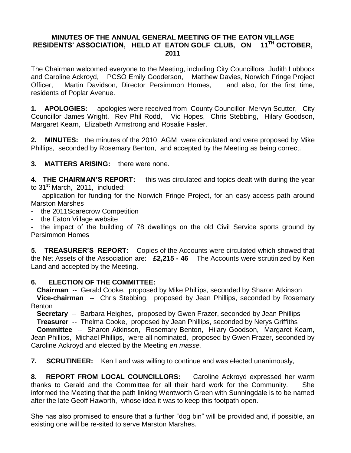## **MINUTES OF THE ANNUAL GENERAL MEETING OF THE EATON VILLAGE RESIDENTS' ASSOCIATION, HELD AT EATON GOLF CLUB, ON 11TH OCTOBER, 2011**

The Chairman welcomed everyone to the Meeting, including City Councillors Judith Lubbock and Caroline Ackroyd, PCSO Emily Gooderson, Matthew Davies, Norwich Fringe Project Officer, Martin Davidson, Director Persimmon Homes, and also, for the first time, residents of Poplar Avenue.

**1. APOLOGIES:** apologies were received from County Councillor Mervyn Scutter, City Councillor James Wright, Rev Phil Rodd, Vic Hopes, Chris Stebbing, Hilary Goodson, Margaret Kearn, Elizabeth Armstrong and Rosalie Fasler.

**2. MINUTES:** the minutes of the 2010 AGM were circulated and were proposed by Mike Phillips, seconded by Rosemary Benton, and accepted by the Meeting as being correct.

**3. MATTERS ARISING:** there were none.

**4. THE CHAIRMAN'S REPORT:** this was circulated and topics dealt with during the year to 31<sup>st</sup> March, 2011, included:

application for funding for the Norwich Fringe Project, for an easy-access path around Marston Marshes

- the 2011Scarecrow Competition

- the Eaton Village website

the impact of the building of 78 dwellings on the old Civil Service sports ground by Persimmon Homes

**5. TREASURER'S REPORT:** Copies of the Accounts were circulated which showed that the Net Assets of the Association are: **£2,215 - 46** The Accounts were scrutinized by Ken Land and accepted by the Meeting.

## **6. ELECTION OF THE COMMITTEE:**

 **Chairman** -- Gerald Cooke, proposed by Mike Phillips, seconded by Sharon Atkinson **Vice-chairman** -- Chris Stebbing, proposed by Jean Phillips, seconded by Rosemary **Benton** 

 **Secretary** -- Barbara Heighes, proposed by Gwen Frazer, seconded by Jean Phillips **Treasurer** -- Thelma Cooke, proposed by Jean Phillips, seconded by Nerys Griffiths

 **Committee** -- Sharon Atkinson, Rosemary Benton, Hilary Goodson, Margaret Kearn, Jean Phillips, Michael Phillips, were all nominated, proposed by Gwen Frazer, seconded by Caroline Ackroyd and elected by the Meeting *en masse.* 

**7. SCRUTINEER:** Ken Land was willing to continue and was elected unanimously,

**8. REPORT FROM LOCAL COUNCILLORS:** Caroline Ackroyd expressed her warm thanks to Gerald and the Committee for all their hard work for the Community. She informed the Meeting that the path linking Wentworth Green with Sunningdale is to be named after the late Geoff Haworth, whose idea it was to keep this footpath open.

She has also promised to ensure that a further "dog bin" will be provided and, if possible, an existing one will be re-sited to serve Marston Marshes.